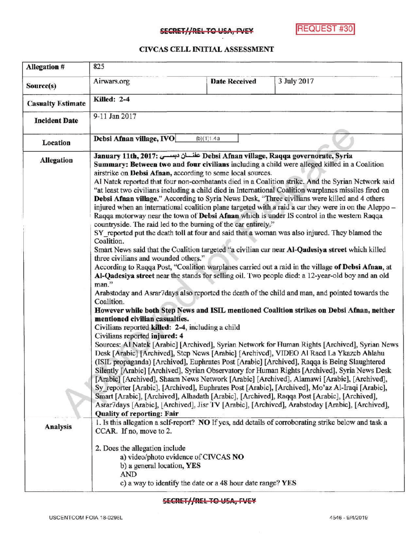## SECRET//REL TO USA, FVEY REQUEST #30

## CIVCAS CELL INITIAL ASSESSMENT

| Allegation #                         | 825                                                                                                                                                                                                                                                                                                                                                                                                                                                                                                                                                                                                                                                                                                                                                                                                                                                                                                                                                                                                                                                                                                                                                                                                                                                                                                                                                                                                                                                                                                                                                                                                                                                                                                                                                                                                                                                                                                                                                                                                                                                                                                                                                                                                                                                                                                                                                                                                                                                                                                                                                                                                                                                                                                                                                                                                                             |                      |             |  |
|--------------------------------------|---------------------------------------------------------------------------------------------------------------------------------------------------------------------------------------------------------------------------------------------------------------------------------------------------------------------------------------------------------------------------------------------------------------------------------------------------------------------------------------------------------------------------------------------------------------------------------------------------------------------------------------------------------------------------------------------------------------------------------------------------------------------------------------------------------------------------------------------------------------------------------------------------------------------------------------------------------------------------------------------------------------------------------------------------------------------------------------------------------------------------------------------------------------------------------------------------------------------------------------------------------------------------------------------------------------------------------------------------------------------------------------------------------------------------------------------------------------------------------------------------------------------------------------------------------------------------------------------------------------------------------------------------------------------------------------------------------------------------------------------------------------------------------------------------------------------------------------------------------------------------------------------------------------------------------------------------------------------------------------------------------------------------------------------------------------------------------------------------------------------------------------------------------------------------------------------------------------------------------------------------------------------------------------------------------------------------------------------------------------------------------------------------------------------------------------------------------------------------------------------------------------------------------------------------------------------------------------------------------------------------------------------------------------------------------------------------------------------------------------------------------------------------------------------------------------------------------|----------------------|-------------|--|
| Source(s)                            | Airwars.org                                                                                                                                                                                                                                                                                                                                                                                                                                                                                                                                                                                                                                                                                                                                                                                                                                                                                                                                                                                                                                                                                                                                                                                                                                                                                                                                                                                                                                                                                                                                                                                                                                                                                                                                                                                                                                                                                                                                                                                                                                                                                                                                                                                                                                                                                                                                                                                                                                                                                                                                                                                                                                                                                                                                                                                                                     | <b>Date Received</b> | 3 July 2017 |  |
| <b>Casualty Estimate</b>             | <b>Killed: 2-4</b>                                                                                                                                                                                                                                                                                                                                                                                                                                                                                                                                                                                                                                                                                                                                                                                                                                                                                                                                                                                                                                                                                                                                                                                                                                                                                                                                                                                                                                                                                                                                                                                                                                                                                                                                                                                                                                                                                                                                                                                                                                                                                                                                                                                                                                                                                                                                                                                                                                                                                                                                                                                                                                                                                                                                                                                                              |                      |             |  |
| <b>Incident Date</b>                 | 9-11 Jan 2017                                                                                                                                                                                                                                                                                                                                                                                                                                                                                                                                                                                                                                                                                                                                                                                                                                                                                                                                                                                                                                                                                                                                                                                                                                                                                                                                                                                                                                                                                                                                                                                                                                                                                                                                                                                                                                                                                                                                                                                                                                                                                                                                                                                                                                                                                                                                                                                                                                                                                                                                                                                                                                                                                                                                                                                                                   |                      |             |  |
| Location                             | Debsi Afnan village, IVO                                                                                                                                                                                                                                                                                                                                                                                                                                                                                                                                                                                                                                                                                                                                                                                                                                                                                                                                                                                                                                                                                                                                                                                                                                                                                                                                                                                                                                                                                                                                                                                                                                                                                                                                                                                                                                                                                                                                                                                                                                                                                                                                                                                                                                                                                                                                                                                                                                                                                                                                                                                                                                                                                                                                                                                                        |                      |             |  |
| <b>Allegation</b><br><b>Analysis</b> | (b)(1)1.4a<br>January 11th, 2017: عفلسان دبسسي Debsi Afnan village, Raqqa governorate, Syria<br>Summary: Between two and four civilians including a child were alleged killed in a Coalition<br>airstrike on Debsi Afnan, according to some local sources.<br>Al Natek reported that four non-combatants died in a Coalition strike. And the Syrian Network said<br>"at least two civilians including a child died in International Coalition warplanes missiles fired on<br>Debsi Afnan village." According to Syria News Desk, "Three civilians were killed and 4 others<br>injured when an international coalition plane targeted with a raid a car they were in on the Aleppo –<br>Raqua motorway near the town of Debsi Afnan which is under IS control in the western Raqua<br>countryside. The raid led to the burning of the car entirely."<br>SY reported put the death toll at four and said that a woman was also injured. They blamed the<br>Coalition.<br>Smart News said that the Coalition targeted "a civilian car near Al-Qadesiya street which killed<br>three civilians and wounded others."<br>According to Raqqa Post, "Coalition warplanes carried out a raid in the village of Debsi Afnan, at<br>Al-Qadesiya street near the stands for selling oil. Two people died: a 12-year-old boy and an old<br>man."<br>Arabstoday and Asrar7days also reported the death of the child and man, and pointed towards the<br>Coalition.<br>However while both Step News and ISIL mentioned Coalition strikes on Debsi Afnan, neither<br>mentioned civilian casualties.<br>Civilians reported killed: 2-4, including a child<br>Civilians reported injured: 4<br>Sources: Al Natek [Arabic] [Archived], Syrian Network for Human Rights [Archived], Syrian News<br>Desk [Arabic] [Archived], Step News [Arabic] [Archived], VIDEO Al Raed La Ykazeb Ahlahu<br>(ISIL propaganda) [Archived], Euphrates Post [Arabic] [Archived], Raqqa is Being Slaughtered<br>Silently [Arabic] [Archived], Syrian Observatory for Human Rights [Archived], Syria News Desk<br>[Arabic] [Archived], Shaam News Network [Arabic] [Archived], Alamawi [Arabic], [Archived],<br>Sy reporter [Arabic], [Archived], Euphrates Post [Arabic], [Archived], Mo'az Al-Iraqi [Arabic],<br>Smart [Arabic], [Archived], Alhadath [Arabic], [Archived], Raqqa Post [Arabic], [Archived],<br>Asrar7days [Arabic], [Archived], Jisr TV [Arabic], [Archived], Arabstoday [Arabic], [Archived],<br><b>Quality of reporting: Fair</b><br>1. Is this allegation a self-report? NO If yes, add details of corroborating strike below and task a<br>CCAR. If no, move to 2.<br>2. Does the allegation include<br>a) video/photo evidence of CIVCAS NO<br>b) a general location, YES<br>AND<br>c) a way to identify the date or a 48 hour date range? YES |                      |             |  |

SECRET//REL TO USA, FVEY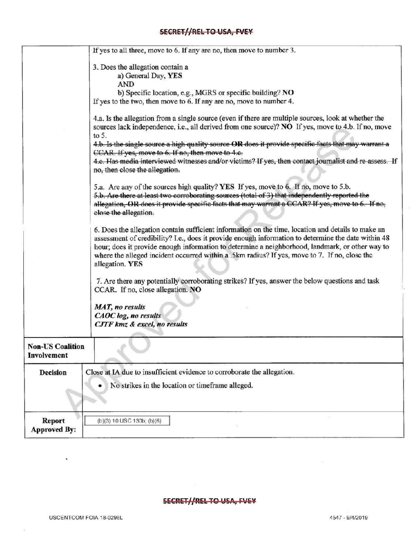## SECRET//REL TO USA, FVEY

|                                        | If yes to all three, move to 6. If any are no, then move to number 3.                                                                                                                                                                                                                                                                                                                                                            |
|----------------------------------------|----------------------------------------------------------------------------------------------------------------------------------------------------------------------------------------------------------------------------------------------------------------------------------------------------------------------------------------------------------------------------------------------------------------------------------|
|                                        | 3. Does the allegation contain a                                                                                                                                                                                                                                                                                                                                                                                                 |
|                                        | a) General Day, YES                                                                                                                                                                                                                                                                                                                                                                                                              |
|                                        | AND                                                                                                                                                                                                                                                                                                                                                                                                                              |
|                                        | b) Specific location, e.g., MGRS or specific building? NO                                                                                                                                                                                                                                                                                                                                                                        |
|                                        | If yes to the two, then move to 6. If any are no, move to number 4.                                                                                                                                                                                                                                                                                                                                                              |
|                                        | 4.a. Is the allegation from a single source (even if there are multiple sources, look at whether the<br>sources lack independence, i.e., all derived from one source)? NO If yes, move to 4.b. If no, move<br>to $5$ .<br>4.b. Is the single source a high quality source OR does it provide specific facts that may warrant a                                                                                                   |
|                                        | CCAR. If yes, move to 6. If no, then move to 4.c.                                                                                                                                                                                                                                                                                                                                                                                |
|                                        | 4.e. Has media interviewed witnesses and/or victims? If yes, then contact journalist and re-assess. If<br>no, then close the allegation.                                                                                                                                                                                                                                                                                         |
|                                        | 5.a. Are any of the sources high quality? YES If yes, move to 6. If no, move to 5.b.<br>5.b. Are there at least two corroborating sources (total of 3) that independently reported the<br>allegation, OR does it provide specific facts that may warrant a CCAR? If yes, move to 6. If no,<br>close the allegation.                                                                                                              |
|                                        | 6. Does the allegation contain sufficient information on the time, location and details to make an<br>assessment of credibility? I.e., does it provide enough information to determine the date within 48<br>hour; does it provide enough information to determine a neighborhood, landmark, or other way to<br>where the alleged incident occurred within a .5km radius? If yes, move to 7. If no, close the<br>allegation. YES |
|                                        | 7. Are there any potentially corroborating strikes? If yes, answer the below questions and task<br>CCAR. If no, close allegation. NO                                                                                                                                                                                                                                                                                             |
|                                        | <b>MAT</b> , no results                                                                                                                                                                                                                                                                                                                                                                                                          |
|                                        | CAOC log, no results<br>CJTF kmz & excel, no results                                                                                                                                                                                                                                                                                                                                                                             |
| <b>Non-US Coalition</b><br>Involvement |                                                                                                                                                                                                                                                                                                                                                                                                                                  |
| Decision                               | Close at IA due to insufficient evidence to corroborate the allegation.                                                                                                                                                                                                                                                                                                                                                          |
|                                        |                                                                                                                                                                                                                                                                                                                                                                                                                                  |
|                                        | No strikes in the location or timeframe alleged.                                                                                                                                                                                                                                                                                                                                                                                 |
|                                        |                                                                                                                                                                                                                                                                                                                                                                                                                                  |
| <b>Report</b><br><b>Approved By:</b>   | (b)(3) 10 USC 130b; (b)(6)                                                                                                                                                                                                                                                                                                                                                                                                       |

## SECRET//REL TO USA, FVEY

 $\bar{\mathbf{x}}$ 

 $\overline{1}0$